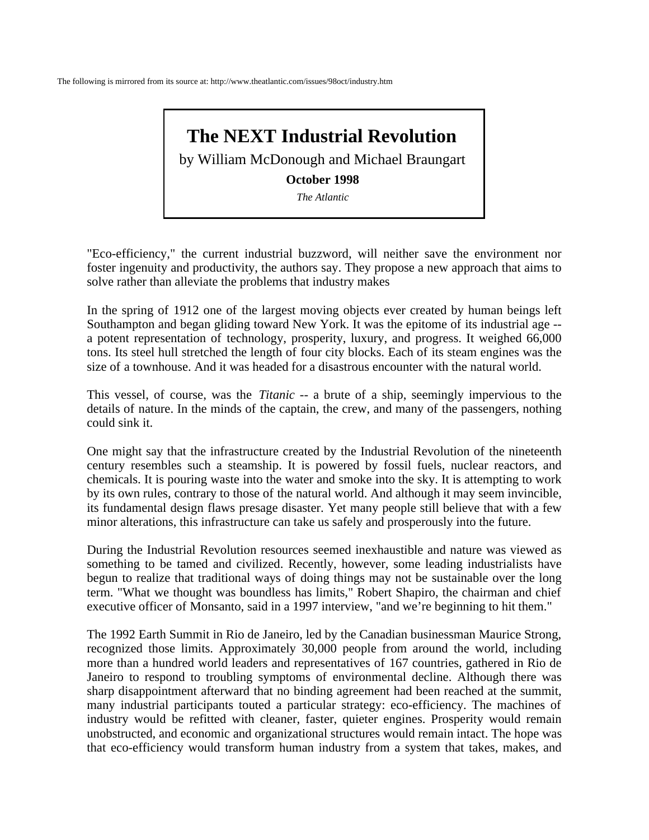The following is mirrored from its source at: http://www.theatlantic.com/issues/98oct/industry.htm

# **The NEXT Industrial Revolution**

by William McDonough and Michael Braungart

**October 1998** 

*The Atlantic* 

"Eco-efficiency," the current industrial buzzword, will neither save the environment nor foster ingenuity and productivity, the authors say. They propose a new approach that aims to solve rather than alleviate the problems that industry makes

In the spring of 1912 one of the largest moving objects ever created by human beings left Southampton and began gliding toward New York. It was the epitome of its industrial age - a potent representation of technology, prosperity, luxury, and progress. It weighed 66,000 tons. Its steel hull stretched the length of four city blocks. Each of its steam engines was the size of a townhouse. And it was headed for a disastrous encounter with the natural world.

This vessel, of course, was the *Titanic* -- a brute of a ship, seemingly impervious to the details of nature. In the minds of the captain, the crew, and many of the passengers, nothing could sink it.

One might say that the infrastructure created by the Industrial Revolution of the nineteenth century resembles such a steamship. It is powered by fossil fuels, nuclear reactors, and chemicals. It is pouring waste into the water and smoke into the sky. It is attempting to work by its own rules, contrary to those of the natural world. And although it may seem invincible, its fundamental design flaws presage disaster. Yet many people still believe that with a few minor alterations, this infrastructure can take us safely and prosperously into the future.

During the Industrial Revolution resources seemed inexhaustible and nature was viewed as something to be tamed and civilized. Recently, however, some leading industrialists have begun to realize that traditional ways of doing things may not be sustainable over the long term. "What we thought was boundless has limits," Robert Shapiro, the chairman and chief executive officer of Monsanto, said in a 1997 interview, "and we're beginning to hit them."

The 1992 Earth Summit in Rio de Janeiro, led by the Canadian businessman Maurice Strong, recognized those limits. Approximately 30,000 people from around the world, including more than a hundred world leaders and representatives of 167 countries, gathered in Rio de Janeiro to respond to troubling symptoms of environmental decline. Although there was sharp disappointment afterward that no binding agreement had been reached at the summit, many industrial participants touted a particular strategy: eco-efficiency. The machines of industry would be refitted with cleaner, faster, quieter engines. Prosperity would remain unobstructed, and economic and organizational structures would remain intact. The hope was that eco-efficiency would transform human industry from a system that takes, makes, and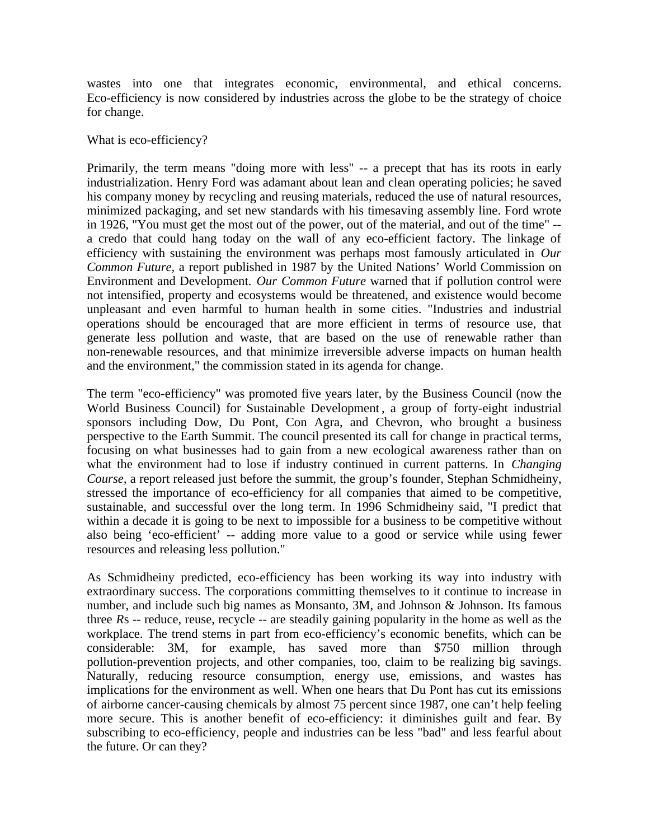wastes into one that integrates economic, environmental, and ethical concerns. Eco-efficiency is now considered by industries across the globe to be the strategy of choice for change.

What is eco-efficiency?

Primarily, the term means "doing more with less" -- a precept that has its roots in early industrialization. Henry Ford was adamant about lean and clean operating policies; he saved his company money by recycling and reusing materials, reduced the use of natural resources, minimized packaging, and set new standards with his timesaving assembly line. Ford wrote in 1926, "You must get the most out of the power, out of the material, and out of the time" - a credo that could hang today on the wall of any eco-efficient factory. The linkage of efficiency with sustaining the environment was perhaps most famously articulated in *Our Common Future,* a report published in 1987 by the United Nations' World Commission on Environment and Development. *Our Common Future* warned that if pollution control were not intensified, property and ecosystems would be threatened, and existence would become unpleasant and even harmful to human health in some cities. "Industries and industrial operations should be encouraged that are more efficient in terms of resource use, that generate less pollution and waste, that are based on the use of renewable rather than non-renewable resources, and that minimize irreversible adverse impacts on human health and the environment," the commission stated in its agenda for change.

The term "eco-efficiency" was promoted five years later, by the Business Council (now the World Business Council) for Sustainable Development, a group of forty-eight industrial sponsors including Dow, Du Pont, Con Agra, and Chevron, who brought a business perspective to the Earth Summit. The council presented its call for change in practical terms, focusing on what businesses had to gain from a new ecological awareness rather than on what the environment had to lose if industry continued in current patterns. In *Changing Course,* a report released just before the summit, the group's founder, Stephan Schmidheiny, stressed the importance of eco-efficiency for all companies that aimed to be competitive, sustainable, and successful over the long term. In 1996 Schmidheiny said, "I predict that within a decade it is going to be next to impossible for a business to be competitive without also being 'eco-efficient' -- adding more value to a good or service while using fewer resources and releasing less pollution."

As Schmidheiny predicted, eco-efficiency has been working its way into industry with extraordinary success. The corporations committing themselves to it continue to increase in number, and include such big names as Monsanto, 3M, and Johnson & Johnson. Its famous three *R*s -- reduce, reuse, recycle -- are steadily gaining popularity in the home as well as the workplace. The trend stems in part from eco-efficiency's economic benefits, which can be considerable: 3M, for example, has saved more than \$750 million through pollution-prevention projects, and other companies, too, claim to be realizing big savings. Naturally, reducing resource consumption, energy use, emissions, and wastes has implications for the environment as well. When one hears that Du Pont has cut its emissions of airborne cancer-causing chemicals by almost 75 percent since 1987, one can't help feeling more secure. This is another benefit of eco-efficiency: it diminishes guilt and fear. By subscribing to eco-efficiency, people and industries can be less "bad" and less fearful about the future. Or can they?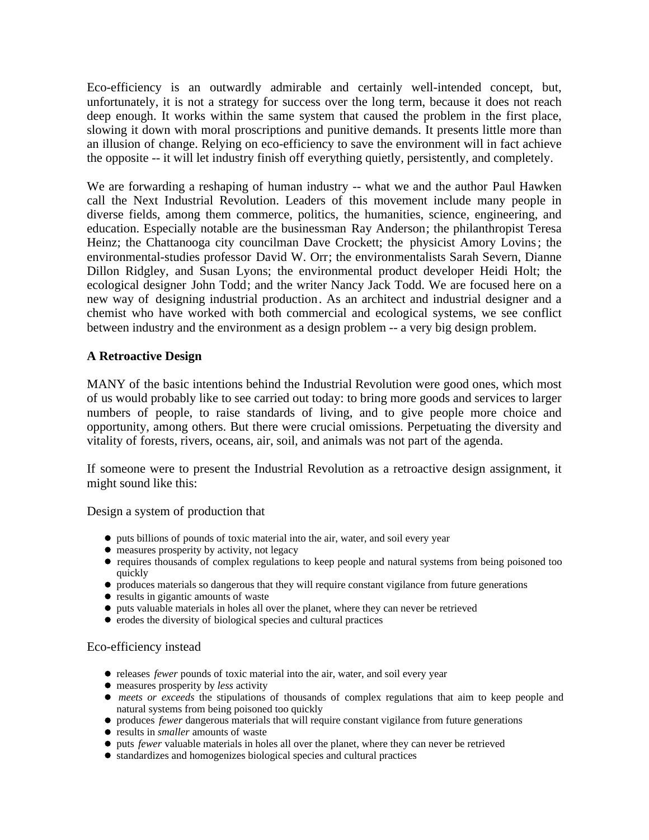Eco-efficiency is an outwardly admirable and certainly well-intended concept, but, unfortunately, it is not a strategy for success over the long term, because it does not reach deep enough. It works within the same system that caused the problem in the first place, slowing it down with moral proscriptions and punitive demands. It presents little more than an illusion of change. Relying on eco-efficiency to save the environment will in fact achieve the opposite -- it will let industry finish off everything quietly, persistently, and completely.

We are forwarding a reshaping of human industry -- what we and the author Paul Hawken call the Next Industrial Revolution. Leaders of this movement include many people in diverse fields, among them commerce, politics, the humanities, science, engineering, and education. Especially notable are the businessman Ray Anderson; the philanthropist Teresa Heinz; the Chattanooga city councilman Dave Crockett; the physicist Amory Lovins ; the environmental-studies professor David W. Orr; the environmentalists Sarah Severn, Dianne Dillon Ridgley, and Susan Lyons; the environmental product developer Heidi Holt; the ecological designer John Todd; and the writer Nancy Jack Todd. We are focused here on a new way of designing industrial production. As an architect and industrial designer and a chemist who have worked with both commercial and ecological systems, we see conflict between industry and the environment as a design problem -- a very big design problem.

#### **A Retroactive Design**

MANY of the basic intentions behind the Industrial Revolution were good ones, which most of us would probably like to see carried out today: to bring more goods and services to larger numbers of people, to raise standards of living, and to give people more choice and opportunity, among others. But there were crucial omissions. Perpetuating the diversity and vitality of forests, rivers, oceans, air, soil, and animals was not part of the agenda.

If someone were to present the Industrial Revolution as a retroactive design assignment, it might sound like this:

Design a system of production that

- puts billions of pounds of toxic material into the air, water, and soil every year
- $\bullet$  measures prosperity by activity, not legacy
- requires thousands of complex regulations to keep people and natural systems from being poisoned too quickly
- produces materials so dangerous that they will require constant vigilance from future generations
- results in gigantic amounts of waste
- puts valuable materials in holes all over the planet, where they can never be retrieved
- erodes the diversity of biological species and cultural practices

#### Eco-efficiency instead

- releases *fewer* pounds of toxic material into the air, water, and soil every year
- measures prosperity by *less* activity
- *meets or exceeds* the stipulations of thousands of complex regulations that aim to keep people and natural systems from being poisoned too quickly
- produces *fewer* dangerous materials that will require constant vigilance from future generations
- results in *smaller* amounts of waste
- puts *fewer* valuable materials in holes all over the planet, where they can never be retrieved
- $\bullet$  standardizes and homogenizes biological species and cultural practices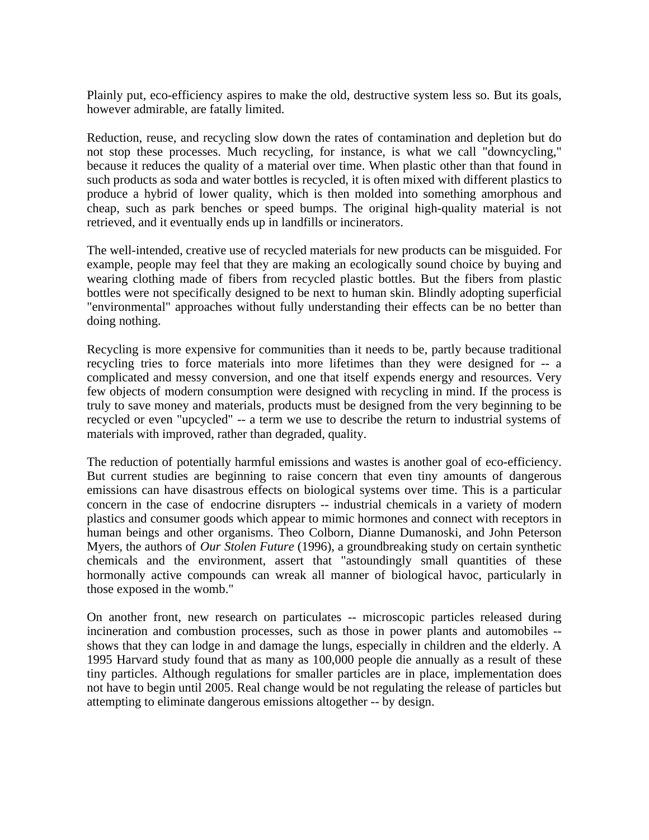Plainly put, eco-efficiency aspires to make the old, destructive system less so. But its goals, however admirable, are fatally limited.

Reduction, reuse, and recycling slow down the rates of contamination and depletion but do not stop these processes. Much recycling, for instance, is what we call "downcycling," because it reduces the quality of a material over time. When plastic other than that found in such products as soda and water bottles is recycled, it is often mixed with different plastics to produce a hybrid of lower quality, which is then molded into something amorphous and cheap, such as park benches or speed bumps. The original high-quality material is not retrieved, and it eventually ends up in landfills or incinerators.

The well-intended, creative use of recycled materials for new products can be misguided. For example, people may feel that they are making an ecologically sound choice by buying and wearing clothing made of fibers from recycled plastic bottles. But the fibers from plastic bottles were not specifically designed to be next to human skin. Blindly adopting superficial "environmental" approaches without fully understanding their effects can be no better than doing nothing.

Recycling is more expensive for communities than it needs to be, partly because traditional recycling tries to force materials into more lifetimes than they were designed for -- a complicated and messy conversion, and one that itself expends energy and resources. Very few objects of modern consumption were designed with recycling in mind. If the process is truly to save money and materials, products must be designed from the very beginning to be recycled or even "upcycled" -- a term we use to describe the return to industrial systems of materials with improved, rather than degraded, quality.

The reduction of potentially harmful emissions and wastes is another goal of eco-efficiency. But current studies are beginning to raise concern that even tiny amounts of dangerous emissions can have disastrous effects on biological systems over time. This is a particular concern in the case of endocrine disrupters -- industrial chemicals in a variety of modern plastics and consumer goods which appear to mimic hormones and connect with receptors in human beings and other organisms. Theo Colborn, Dianne Dumanoski, and John Peterson Myers, the authors of *Our Stolen Future* (1996), a groundbreaking study on certain synthetic chemicals and the environment, assert that "astoundingly small quantities of these hormonally active compounds can wreak all manner of biological havoc, particularly in those exposed in the womb."

On another front, new research on particulates -- microscopic particles released during incineration and combustion processes, such as those in power plants and automobiles - shows that they can lodge in and damage the lungs, especially in children and the elderly. A 1995 Harvard study found that as many as 100,000 people die annually as a result of these tiny particles. Although regulations for smaller particles are in place, implementation does not have to begin until 2005. Real change would be not regulating the release of particles but attempting to eliminate dangerous emissions altogether -- by design.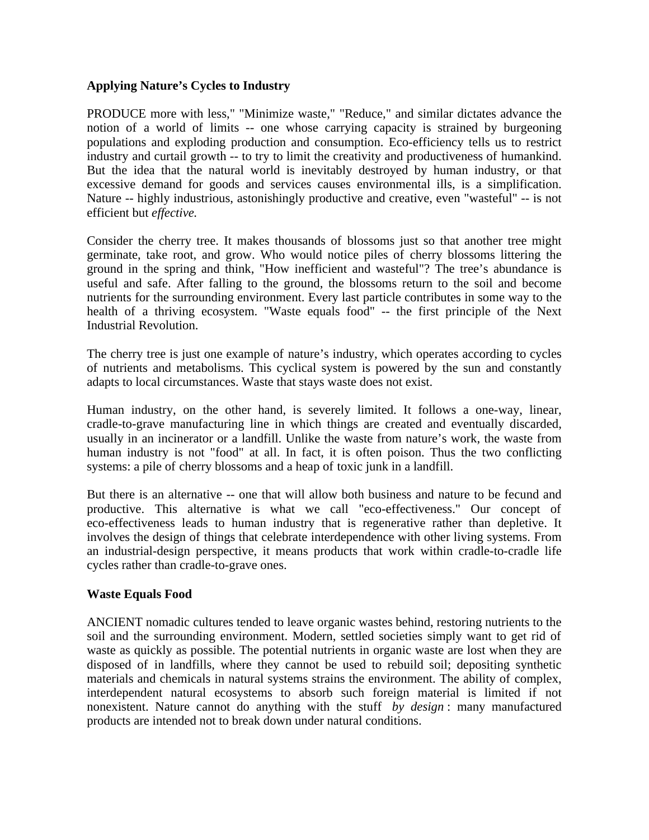## **Applying Nature's Cycles to Industry**

PRODUCE more with less," "Minimize waste," "Reduce," and similar dictates advance the notion of a world of limits -- one whose carrying capacity is strained by burgeoning populations and exploding production and consumption. Eco-efficiency tells us to restrict industry and curtail growth -- to try to limit the creativity and productiveness of humankind. But the idea that the natural world is inevitably destroyed by human industry, or that excessive demand for goods and services causes environmental ills, is a simplification. Nature -- highly industrious, astonishingly productive and creative, even "wasteful" -- is not efficient but *effective.*

Consider the cherry tree. It makes thousands of blossoms just so that another tree might germinate, take root, and grow. Who would notice piles of cherry blossoms littering the ground in the spring and think, "How inefficient and wasteful"? The tree's abundance is useful and safe. After falling to the ground, the blossoms return to the soil and become nutrients for the surrounding environment. Every last particle contributes in some way to the health of a thriving ecosystem. "Waste equals food" -- the first principle of the Next Industrial Revolution.

The cherry tree is just one example of nature's industry, which operates according to cycles of nutrients and metabolisms. This cyclical system is powered by the sun and constantly adapts to local circumstances. Waste that stays waste does not exist.

Human industry, on the other hand, is severely limited. It follows a one-way, linear, cradle-to-grave manufacturing line in which things are created and eventually discarded, usually in an incinerator or a landfill. Unlike the waste from nature's work, the waste from human industry is not "food" at all. In fact, it is often poison. Thus the two conflicting systems: a pile of cherry blossoms and a heap of toxic junk in a landfill.

But there is an alternative -- one that will allow both business and nature to be fecund and productive. This alternative is what we call "eco-effectiveness." Our concept of eco-effectiveness leads to human industry that is regenerative rather than depletive. It involves the design of things that celebrate interdependence with other living systems. From an industrial-design perspective, it means products that work within cradle-to-cradle life cycles rather than cradle-to-grave ones.

#### **Waste Equals Food**

ANCIENT nomadic cultures tended to leave organic wastes behind, restoring nutrients to the soil and the surrounding environment. Modern, settled societies simply want to get rid of waste as quickly as possible. The potential nutrients in organic waste are lost when they are disposed of in landfills, where they cannot be used to rebuild soil; depositing synthetic materials and chemicals in natural systems strains the environment. The ability of complex, interdependent natural ecosystems to absorb such foreign material is limited if not nonexistent. Nature cannot do anything with the stuff *by design* : many manufactured products are intended not to break down under natural conditions.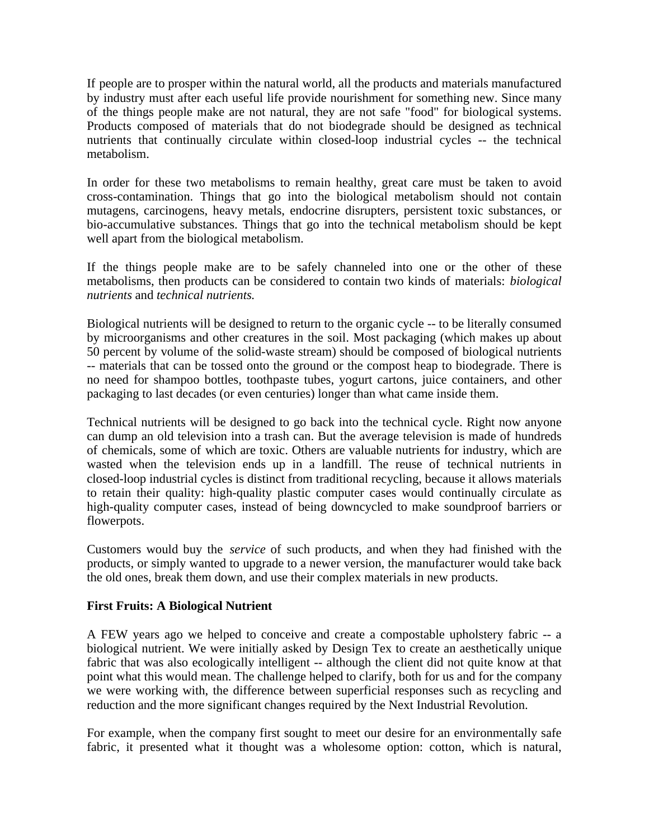If people are to prosper within the natural world, all the products and materials manufactured by industry must after each useful life provide nourishment for something new. Since many of the things people make are not natural, they are not safe "food" for biological systems. Products composed of materials that do not biodegrade should be designed as technical nutrients that continually circulate within closed-loop industrial cycles -- the technical metabolism.

In order for these two metabolisms to remain healthy, great care must be taken to avoid cross-contamination. Things that go into the biological metabolism should not contain mutagens, carcinogens, heavy metals, endocrine disrupters, persistent toxic substances, or bio-accumulative substances. Things that go into the technical metabolism should be kept well apart from the biological metabolism.

If the things people make are to be safely channeled into one or the other of these metabolisms, then products can be considered to contain two kinds of materials: *biological nutrients* and *technical nutrients.*

Biological nutrients will be designed to return to the organic cycle -- to be literally consumed by microorganisms and other creatures in the soil. Most packaging (which makes up about 50 percent by volume of the solid-waste stream) should be composed of biological nutrients -- materials that can be tossed onto the ground or the compost heap to biodegrade. There is no need for shampoo bottles, toothpaste tubes, yogurt cartons, juice containers, and other packaging to last decades (or even centuries) longer than what came inside them.

Technical nutrients will be designed to go back into the technical cycle. Right now anyone can dump an old television into a trash can. But the average television is made of hundreds of chemicals, some of which are toxic. Others are valuable nutrients for industry, which are wasted when the television ends up in a landfill. The reuse of technical nutrients in closed-loop industrial cycles is distinct from traditional recycling, because it allows materials to retain their quality: high-quality plastic computer cases would continually circulate as high-quality computer cases, instead of being downcycled to make soundproof barriers or flowerpots.

Customers would buy the *service* of such products, and when they had finished with the products, or simply wanted to upgrade to a newer version, the manufacturer would take back the old ones, break them down, and use their complex materials in new products.

#### **First Fruits: A Biological Nutrient**

A FEW years ago we helped to conceive and create a compostable upholstery fabric -- a biological nutrient. We were initially asked by Design Tex to create an aesthetically unique fabric that was also ecologically intelligent -- although the client did not quite know at that point what this would mean. The challenge helped to clarify, both for us and for the company we were working with, the difference between superficial responses such as recycling and reduction and the more significant changes required by the Next Industrial Revolution.

For example, when the company first sought to meet our desire for an environmentally safe fabric, it presented what it thought was a wholesome option: cotton, which is natural,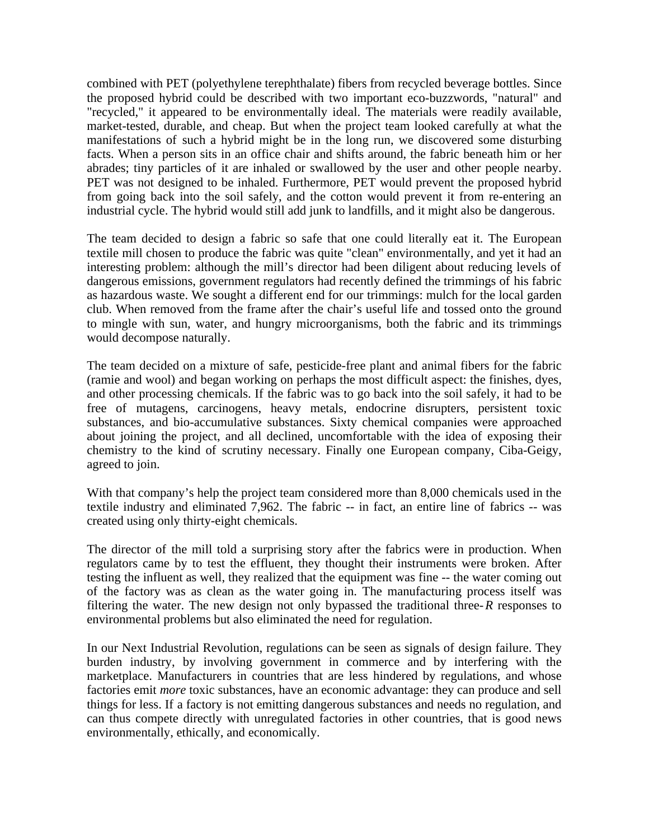combined with PET (polyethylene terephthalate) fibers from recycled beverage bottles. Since the proposed hybrid could be described with two important eco-buzzwords, "natural" and "recycled," it appeared to be environmentally ideal. The materials were readily available, market-tested, durable, and cheap. But when the project team looked carefully at what the manifestations of such a hybrid might be in the long run, we discovered some disturbing facts. When a person sits in an office chair and shifts around, the fabric beneath him or her abrades; tiny particles of it are inhaled or swallowed by the user and other people nearby. PET was not designed to be inhaled. Furthermore, PET would prevent the proposed hybrid from going back into the soil safely, and the cotton would prevent it from re-entering an industrial cycle. The hybrid would still add junk to landfills, and it might also be dangerous.

The team decided to design a fabric so safe that one could literally eat it. The European textile mill chosen to produce the fabric was quite "clean" environmentally, and yet it had an interesting problem: although the mill's director had been diligent about reducing levels of dangerous emissions, government regulators had recently defined the trimmings of his fabric as hazardous waste. We sought a different end for our trimmings: mulch for the local garden club. When removed from the frame after the chair's useful life and tossed onto the ground to mingle with sun, water, and hungry microorganisms, both the fabric and its trimmings would decompose naturally.

The team decided on a mixture of safe, pesticide-free plant and animal fibers for the fabric (ramie and wool) and began working on perhaps the most difficult aspect: the finishes, dyes, and other processing chemicals. If the fabric was to go back into the soil safely, it had to be free of mutagens, carcinogens, heavy metals, endocrine disrupters, persistent toxic substances, and bio-accumulative substances. Sixty chemical companies were approached about joining the project, and all declined, uncomfortable with the idea of exposing their chemistry to the kind of scrutiny necessary. Finally one European company, Ciba-Geigy, agreed to join.

With that company's help the project team considered more than 8,000 chemicals used in the textile industry and eliminated 7,962. The fabric -- in fact, an entire line of fabrics -- was created using only thirty-eight chemicals.

The director of the mill told a surprising story after the fabrics were in production. When regulators came by to test the effluent, they thought their instruments were broken. After testing the influent as well, they realized that the equipment was fine -- the water coming out of the factory was as clean as the water going in. The manufacturing process itself was filtering the water. The new design not only bypassed the traditional three-*R* responses to environmental problems but also eliminated the need for regulation.

In our Next Industrial Revolution, regulations can be seen as signals of design failure. They burden industry, by involving government in commerce and by interfering with the marketplace. Manufacturers in countries that are less hindered by regulations, and whose factories emit *more* toxic substances, have an economic advantage: they can produce and sell things for less. If a factory is not emitting dangerous substances and needs no regulation, and can thus compete directly with unregulated factories in other countries, that is good news environmentally, ethically, and economically.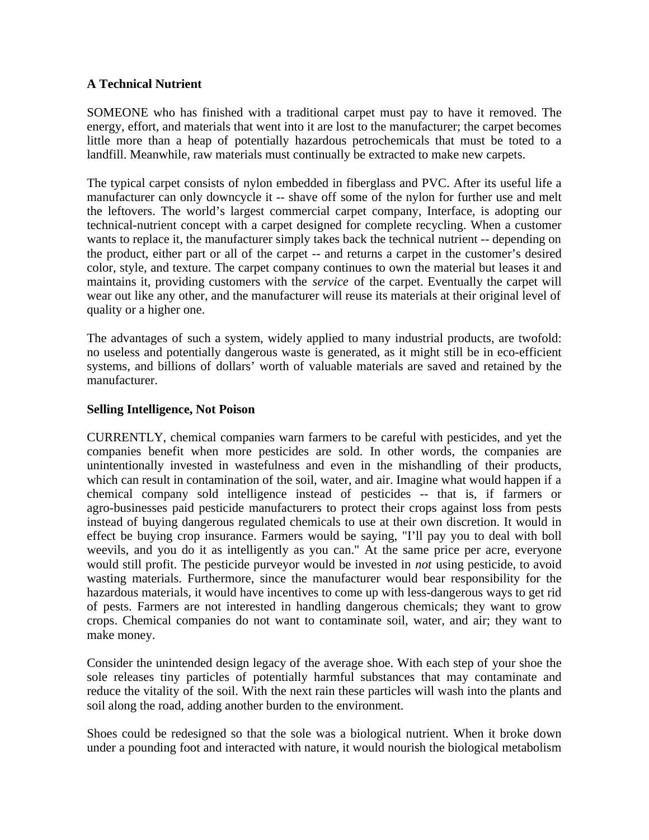## **A Technical Nutrient**

SOMEONE who has finished with a traditional carpet must pay to have it removed. The energy, effort, and materials that went into it are lost to the manufacturer; the carpet becomes little more than a heap of potentially hazardous petrochemicals that must be toted to a landfill. Meanwhile, raw materials must continually be extracted to make new carpets.

The typical carpet consists of nylon embedded in fiberglass and PVC. After its useful life a manufacturer can only downcycle it -- shave off some of the nylon for further use and melt the leftovers. The world's largest commercial carpet company, Interface, is adopting our technical-nutrient concept with a carpet designed for complete recycling. When a customer wants to replace it, the manufacturer simply takes back the technical nutrient -- depending on the product, either part or all of the carpet -- and returns a carpet in the customer's desired color, style, and texture. The carpet company continues to own the material but leases it and maintains it, providing customers with the *service* of the carpet. Eventually the carpet will wear out like any other, and the manufacturer will reuse its materials at their original level of quality or a higher one.

The advantages of such a system, widely applied to many industrial products, are twofold: no useless and potentially dangerous waste is generated, as it might still be in eco-efficient systems, and billions of dollars' worth of valuable materials are saved and retained by the manufacturer.

#### **Selling Intelligence, Not Poison**

CURRENTLY, chemical companies warn farmers to be careful with pesticides, and yet the companies benefit when more pesticides are sold. In other words, the companies are unintentionally invested in wastefulness and even in the mishandling of their products, which can result in contamination of the soil, water, and air. Imagine what would happen if a chemical company sold intelligence instead of pesticides -- that is, if farmers or agro-businesses paid pesticide manufacturers to protect their crops against loss from pests instead of buying dangerous regulated chemicals to use at their own discretion. It would in effect be buying crop insurance. Farmers would be saying, "I'll pay you to deal with boll weevils, and you do it as intelligently as you can." At the same price per acre, everyone would still profit. The pesticide purveyor would be invested in *not* using pesticide, to avoid wasting materials. Furthermore, since the manufacturer would bear responsibility for the hazardous materials, it would have incentives to come up with less-dangerous ways to get rid of pests. Farmers are not interested in handling dangerous chemicals; they want to grow crops. Chemical companies do not want to contaminate soil, water, and air; they want to make money.

Consider the unintended design legacy of the average shoe. With each step of your shoe the sole releases tiny particles of potentially harmful substances that may contaminate and reduce the vitality of the soil. With the next rain these particles will wash into the plants and soil along the road, adding another burden to the environment.

Shoes could be redesigned so that the sole was a biological nutrient. When it broke down under a pounding foot and interacted with nature, it would nourish the biological metabolism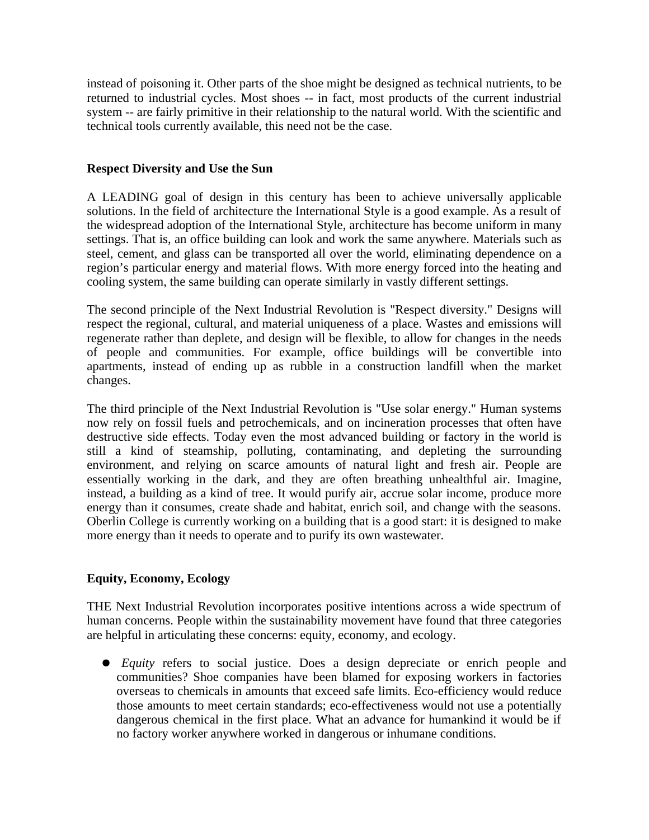instead of poisoning it. Other parts of the shoe might be designed as technical nutrients, to be returned to industrial cycles. Most shoes -- in fact, most products of the current industrial system -- are fairly primitive in their relationship to the natural world. With the scientific and technical tools currently available, this need not be the case.

## **Respect Diversity and Use the Sun**

A LEADING goal of design in this century has been to achieve universally applicable solutions. In the field of architecture the International Style is a good example. As a result of the widespread adoption of the International Style, architecture has become uniform in many settings. That is, an office building can look and work the same anywhere. Materials such as steel, cement, and glass can be transported all over the world, eliminating dependence on a region's particular energy and material flows. With more energy forced into the heating and cooling system, the same building can operate similarly in vastly different settings.

The second principle of the Next Industrial Revolution is "Respect diversity." Designs will respect the regional, cultural, and material uniqueness of a place. Wastes and emissions will regenerate rather than deplete, and design will be flexible, to allow for changes in the needs of people and communities. For example, office buildings will be convertible into apartments, instead of ending up as rubble in a construction landfill when the market changes.

The third principle of the Next Industrial Revolution is "Use solar energy." Human systems now rely on fossil fuels and petrochemicals, and on incineration processes that often have destructive side effects. Today even the most advanced building or factory in the world is still a kind of steamship, polluting, contaminating, and depleting the surrounding environment, and relying on scarce amounts of natural light and fresh air. People are essentially working in the dark, and they are often breathing unhealthful air. Imagine, instead, a building as a kind of tree. It would purify air, accrue solar income, produce more energy than it consumes, create shade and habitat, enrich soil, and change with the seasons. Oberlin College is currently working on a building that is a good start: it is designed to make more energy than it needs to operate and to purify its own wastewater.

## **Equity, Economy, Ecology**

THE Next Industrial Revolution incorporates positive intentions across a wide spectrum of human concerns. People within the sustainability movement have found that three categories are helpful in articulating these concerns: equity, economy, and ecology.

*Equity* refers to social justice. Does a design depreciate or enrich people and communities? Shoe companies have been blamed for exposing workers in factories overseas to chemicals in amounts that exceed safe limits. Eco-efficiency would reduce those amounts to meet certain standards; eco-effectiveness would not use a potentially dangerous chemical in the first place. What an advance for humankind it would be if no factory worker anywhere worked in dangerous or inhumane conditions.